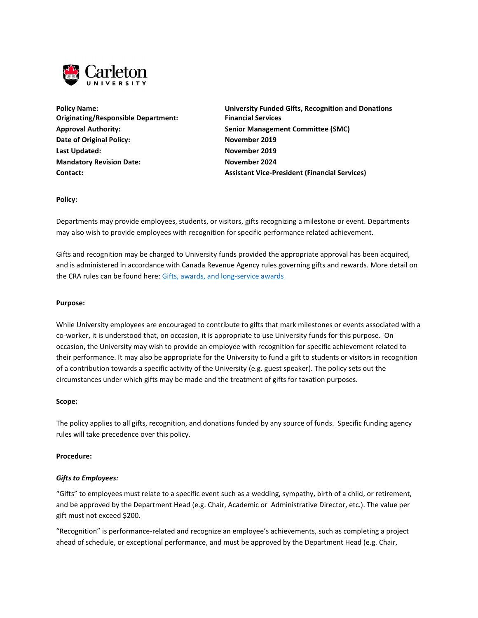

**Originating/Responsible Department: Financial Services Date of Original Policy: November 2019 Last Updated: November 2019 Mandatory Revision Date:** November 2024

**Policy Name: University Funded Gifts, Recognition and Donations Approval Authority: Senior Management Committee (SMC) Contact: Assistant Vice-President (Financial Services)**

# **Policy:**

Departments may provide employees, students, or visitors, gifts recognizing a milestone or event. Departments may also wish to provide employees with recognition for specific performance related achievement.

Gifts and recognition may be charged to University funds provided the appropriate approval has been acquired, and is administered in accordance with Canada Revenue Agency rules governing gifts and rewards. More detail on the CRA rules can be found here: [Gifts, awards, and long-service awards](https://www.canada.ca/en/revenue-agency/services/tax/businesses/topics/payroll/benefits-allowances/gifts-awards-social-events/gifts-awards-long-service-awards.html)

## **Purpose:**

While University employees are encouraged to contribute to gifts that mark milestones or events associated with a co-worker, it is understood that, on occasion, it is appropriate to use University funds for this purpose. On occasion, the University may wish to provide an employee with recognition for specific achievement related to their performance. It may also be appropriate for the University to fund a gift to students or visitors in recognition of a contribution towards a specific activity of the University (e.g. guest speaker). The policy sets out the circumstances under which gifts may be made and the treatment of gifts for taxation purposes.

## **Scope:**

The policy applies to all gifts, recognition, and donations funded by any source of funds. Specific funding agency rules will take precedence over this policy.

## **Procedure:**

## *Gifts to Employees:*

"Gifts" to employees must relate to a specific event such as a wedding, sympathy, birth of a child, or retirement, and be approved by the Department Head (e.g. Chair, Academic or Administrative Director, etc.). The value per gift must not exceed \$200.

"Recognition" is performance-related and recognize an employee's achievements, such as completing a project ahead of schedule, or exceptional performance, and must be approved by the Department Head (e.g. Chair,